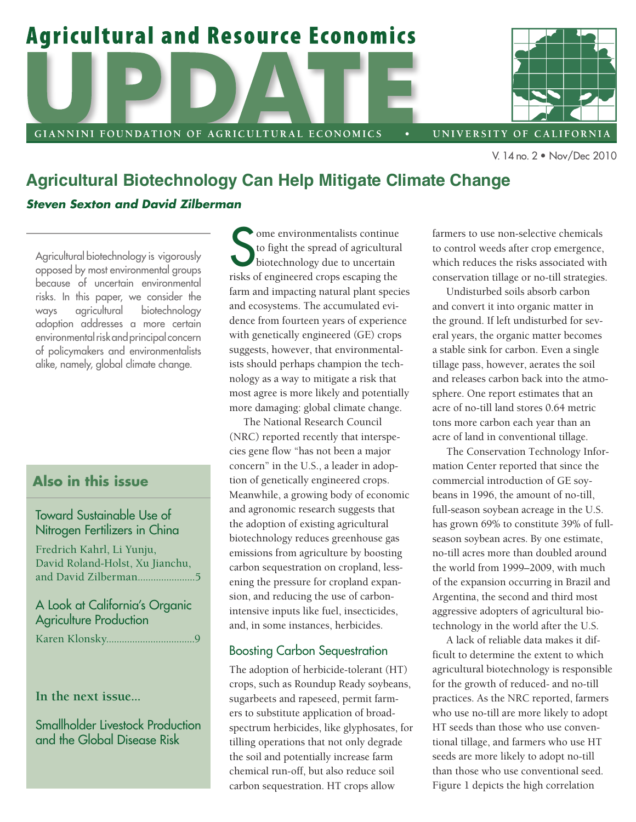



UNIVERSITY OF CALIFORNIA

V. 14 no. 2 • Nov/Dec 2010

# **Agricultural Biotechnology Can Help Mitigate Climate Change**

# *Steven Sexton and David Zilberman*

Agricultural biotechnology is vigorously opposed by most environmental groups because of uncertain environmental risks. In this paper, we consider the ways agricultural biotechnology adoption addresses a more certain environmental risk and principal concern of policymakers and environmentalists alike, namely, global climate change.

# **Also in this issue**

# Toward Sustainable Use of Nitrogen Fertilizers in China

Fredrich Kahrl, Li Yunju, David Roland-Holst, Xu Jianchu, and David Zilberman......................5

# A Look at California's Organic Agriculture Production

Karen Klonsky..................................9

**In the next issue...**

Smallholder Livestock Production and the Global Disease Risk

Some environmentalists continue<br>to fight the spread of agricultural<br>biotechnology due to uncertain<br>risks of engineered crops escaping the ome environmentalists continue to fight the spread of agricultural biotechnology due to uncertain farm and impacting natural plant species and ecosystems. The accumulated evidence from fourteen years of experience with genetically engineered (GE) crops suggests, however, that environmentalists should perhaps champion the technology as a way to mitigate a risk that most agree is more likely and potentially more damaging: global climate change.

The National Research Council (NRC) reported recently that interspecies gene flow "has not been a major concern" in the U.S., a leader in adoption of genetically engineered crops. Meanwhile, a growing body of economic and agronomic research suggests that the adoption of existing agricultural biotechnology reduces greenhouse gas emissions from agriculture by boosting carbon sequestration on cropland, lessening the pressure for cropland expansion, and reducing the use of carbonintensive inputs like fuel, insecticides, and, in some instances, herbicides.

# Boosting Carbon Sequestration

The adoption of herbicide-tolerant (HT) crops, such as Roundup Ready soybeans, sugarbeets and rapeseed, permit farmers to substitute application of broadspectrum herbicides, like glyphosates, for tilling operations that not only degrade the soil and potentially increase farm chemical run-off, but also reduce soil carbon sequestration. HT crops allow

farmers to use non-selective chemicals to control weeds after crop emergence, which reduces the risks associated with conservation tillage or no-till strategies.

Undisturbed soils absorb carbon and convert it into organic matter in the ground. If left undisturbed for several years, the organic matter becomes a stable sink for carbon. Even a single tillage pass, however, aerates the soil and releases carbon back into the atmosphere. One report estimates that an acre of no-till land stores 0.64 metric tons more carbon each year than an acre of land in conventional tillage.

The Conservation Technology Information Center reported that since the commercial introduction of GE soybeans in 1996, the amount of no-till, full-season soybean acreage in the U.S. has grown 69% to constitute 39% of fullseason soybean acres. By one estimate, no-till acres more than doubled around the world from 1999–2009, with much of the expansion occurring in Brazil and Argentina, the second and third most aggressive adopters of agricultural biotechnology in the world after the U.S.

A lack of reliable data makes it difficult to determine the extent to which agricultural biotechnology is responsible for the growth of reduced- and no-till practices. As the NRC reported, farmers who use no-till are more likely to adopt HT seeds than those who use conventional tillage, and farmers who use HT seeds are more likely to adopt no-till than those who use conventional seed. Figure 1 depicts the high correlation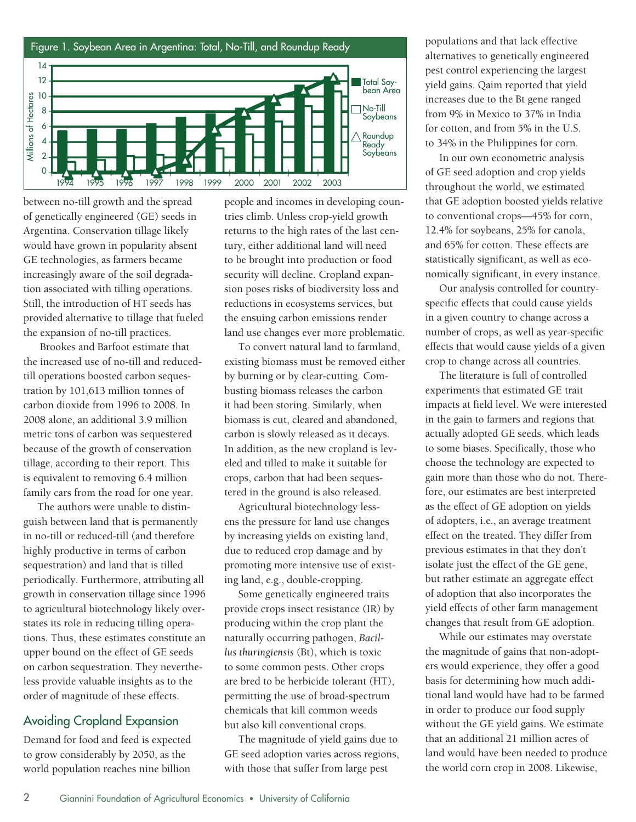

between no-till growth and the spread of genetically engineered (GE) seeds in Argentina. Conservation tillage likely would have grown in popularity absent GE technologies, as farmers became increasingly aware of the soil degradation associated with tilling operations. Still, the introduction of HT seeds has provided alternative to tillage that fueled the expansion of no-till practices.

 Brookes and Barfoot estimate that the increased use of no-till and reducedtill operations boosted carbon sequestration by 101,613 million tonnes of carbon dioxide from 1996 to 2008. In 2008 alone, an additional 3.9 million metric tons of carbon was sequestered because of the growth of conservation tillage, according to their report. This is equivalent to removing 6.4 million family cars from the road for one year.

The authors were unable to distinguish between land that is permanently in no-till or reduced-till (and therefore highly productive in terms of carbon sequestration) and land that is tilled periodically. Furthermore, attributing all growth in conservation tillage since 1996 to agricultural biotechnology likely overstates its role in reducing tilling operations. Thus, these estimates constitute an upper bound on the effect of GE seeds on carbon sequestration. They nevertheless provide valuable insights as to the order of magnitude of these effects.

# Avoiding Cropland Expansion

Demand for food and feed is expected to grow considerably by 2050, as the world population reaches nine billion

people and incomes in developing countries climb. Unless crop-yield growth returns to the high rates of the last century, either additional land will need to be brought into production or food security will decline. Cropland expansion poses risks of biodiversity loss and reductions in ecosystems services, but the ensuing carbon emissions render land use changes ever more problematic.

To convert natural land to farmland, existing biomass must be removed either by burning or by clear-cutting. Combusting biomass releases the carbon it had been storing. Similarly, when biomass is cut, cleared and abandoned, carbon is slowly released as it decays. In addition, as the new cropland is leveled and tilled to make it suitable for crops, carbon that had been sequestered in the ground is also released.

Agricultural biotechnology lessens the pressure for land use changes by increasing yields on existing land, due to reduced crop damage and by promoting more intensive use of existing land, e.g., double-cropping.

Some genetically engineered traits provide crops insect resistance (IR) by producing within the crop plant the naturally occurring pathogen, *Bacillus thuringiensis* (Bt), which is toxic to some common pests. Other crops are bred to be herbicide tolerant (HT), permitting the use of broad-spectrum chemicals that kill common weeds but also kill conventional crops.

The magnitude of yield gains due to GE seed adoption varies across regions, with those that suffer from large pest

populations and that lack effective alternatives to genetically engineered pest control experiencing the largest yield gains. Qaim reported that yield increases due to the Bt gene ranged from 9% in Mexico to 37% in India for cotton, and from 5% in the U.S. to 34% in the Philippines for corn.

In our own econometric analysis of GE seed adoption and crop yields throughout the world, we estimated that GE adoption boosted yields relative to conventional crops—45% for corn, 12.4% for soybeans, 25% for canola, and 65% for cotton. These effects are statistically significant, as well as economically significant, in every instance.

Our analysis controlled for countryspecific effects that could cause yields in a given country to change across a number of crops, as well as year-specific effects that would cause yields of a given crop to change across all countries.

The literature is full of controlled experiments that estimated GE trait impacts at field level. We were interested in the gain to farmers and regions that actually adopted GE seeds, which leads to some biases. Specifically, those who choose the technology are expected to gain more than those who do not. Therefore, our estimates are best interpreted as the effect of GE adoption on yields of adopters, i.e., an average treatment effect on the treated. They differ from previous estimates in that they don't isolate just the effect of the GE gene, but rather estimate an aggregate effect of adoption that also incorporates the yield effects of other farm management changes that result from GE adoption.

While our estimates may overstate the magnitude of gains that non-adopters would experience, they offer a good basis for determining how much additional land would have had to be farmed in order to produce our food supply without the GE yield gains. We estimate that an additional 21 million acres of land would have been needed to produce the world corn crop in 2008. Likewise,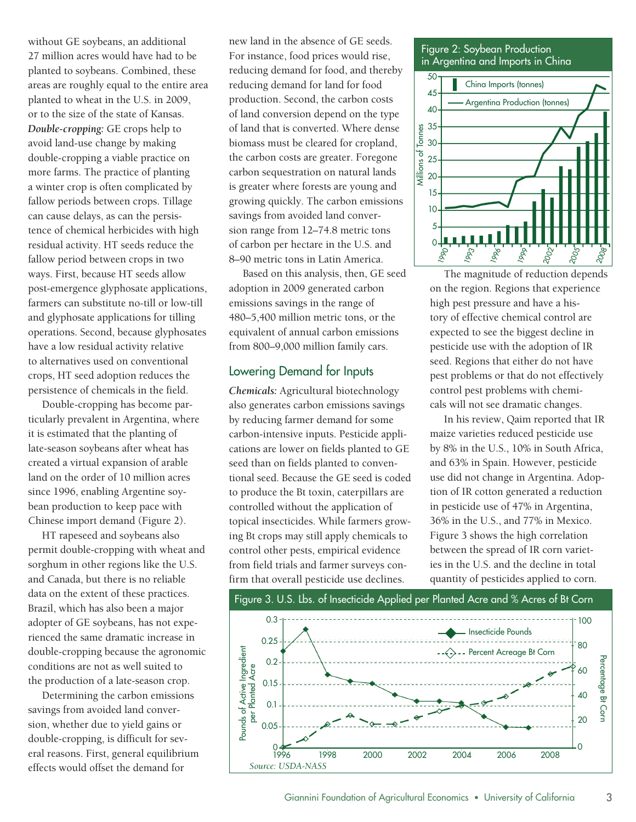without GE soybeans, an additional 27 million acres would have had to be planted to soybeans. Combined, these areas are roughly equal to the entire area planted to wheat in the U.S. in 2009, or to the size of the state of Kansas. *Double-cropping:* GE crops help to avoid land-use change by making double-cropping a viable practice on more farms. The practice of planting a winter crop is often complicated by fallow periods between crops. Tillage can cause delays, as can the persistence of chemical herbicides with high residual activity. HT seeds reduce the fallow period between crops in two ways. First, because HT seeds allow post-emergence glyphosate applications, farmers can substitute no-till or low-till and glyphosate applications for tilling operations. Second, because glyphosates have a low residual activity relative to alternatives used on conventional crops, HT seed adoption reduces the persistence of chemicals in the field.

Double-cropping has become particularly prevalent in Argentina, where it is estimated that the planting of late-season soybeans after wheat has created a virtual expansion of arable land on the order of 10 million acres since 1996, enabling Argentine soybean production to keep pace with Chinese import demand (Figure 2).

HT rapeseed and soybeans also permit double-cropping with wheat and sorghum in other regions like the U.S. and Canada, but there is no reliable data on the extent of these practices. Brazil, which has also been a major adopter of GE soybeans, has not experienced the same dramatic increase in double-cropping because the agronomic conditions are not as well suited to the production of a late-season crop.

Determining the carbon emissions savings from avoided land conversion, whether due to yield gains or double-cropping, is difficult for several reasons. First, general equilibrium effects would offset the demand for

new land in the absence of GE seeds. For instance, food prices would rise, reducing demand for food, and thereby reducing demand for land for food production. Second, the carbon costs of land conversion depend on the type of land that is converted. Where dense biomass must be cleared for cropland, the carbon costs are greater. Foregone carbon sequestration on natural lands is greater where forests are young and growing quickly. The carbon emissions savings from avoided land conversion range from 12–74.8 metric tons of carbon per hectare in the U.S. and 8–90 metric tons in Latin America.

Based on this analysis, then, GE seed adoption in 2009 generated carbon emissions savings in the range of 480–5,400 million metric tons, or the equivalent of annual carbon emissions from 800–9,000 million family cars.

#### Lowering Demand for Inputs

*Chemicals:* Agricultural biotechnology also generates carbon emissions savings by reducing farmer demand for some carbon-intensive inputs. Pesticide applications are lower on fields planted to GE seed than on fields planted to conventional seed. Because the GE seed is coded to produce the Bt toxin, caterpillars are controlled without the application of topical insecticides. While farmers growing Bt crops may still apply chemicals to control other pests, empirical evidence from field trials and farmer surveys confirm that overall pesticide use declines.





The magnitude of reduction depends on the region. Regions that experience high pest pressure and have a history of effective chemical control are expected to see the biggest decline in pesticide use with the adoption of IR seed. Regions that either do not have pest problems or that do not effectively control pest problems with chemicals will not see dramatic changes.

In his review, Qaim reported that IR maize varieties reduced pesticide use by 8% in the U.S., 10% in South Africa, and 63% in Spain. However, pesticide use did not change in Argentina. Adoption of IR cotton generated a reduction in pesticide use of 47% in Argentina, 36% in the U.S., and 77% in Mexico. Figure 3 shows the high correlation between the spread of IR corn varieties in the U.S. and the decline in total quantity of pesticides applied to corn.

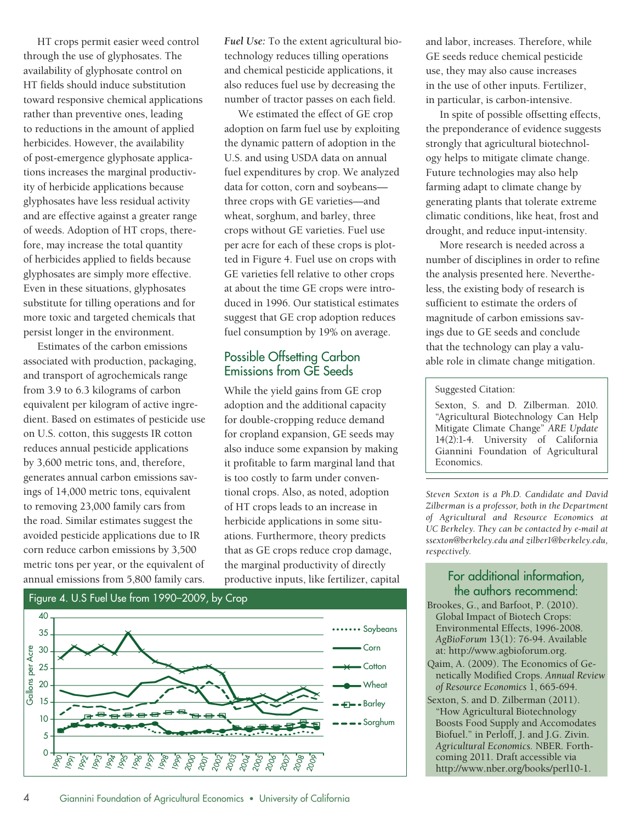HT crops permit easier weed control through the use of glyphosates. The availability of glyphosate control on HT fields should induce substitution toward responsive chemical applications rather than preventive ones, leading to reductions in the amount of applied herbicides. However, the availability of post-emergence glyphosate applications increases the marginal productivity of herbicide applications because glyphosates have less residual activity and are effective against a greater range of weeds. Adoption of HT crops, therefore, may increase the total quantity of herbicides applied to fields because glyphosates are simply more effective. Even in these situations, glyphosates substitute for tilling operations and for more toxic and targeted chemicals that persist longer in the environment.

Estimates of the carbon emissions associated with production, packaging, and transport of agrochemicals range from 3.9 to 6.3 kilograms of carbon equivalent per kilogram of active ingredient. Based on estimates of pesticide use on U.S. cotton, this suggests IR cotton reduces annual pesticide applications by 3,600 metric tons, and, therefore, generates annual carbon emissions savings of 14,000 metric tons, equivalent to removing 23,000 family cars from the road. Similar estimates suggest the avoided pesticide applications due to IR corn reduce carbon emissions by 3,500 metric tons per year, or the equivalent of annual emissions from 5,800 family cars.

*Fuel Use:* To the extent agricultural biotechnology reduces tilling operations and chemical pesticide applications, it also reduces fuel use by decreasing the number of tractor passes on each field.

We estimated the effect of GE crop adoption on farm fuel use by exploiting the dynamic pattern of adoption in the U.S. and using USDA data on annual fuel expenditures by crop. We analyzed data for cotton, corn and soybeans three crops with GE varieties—and wheat, sorghum, and barley, three crops without GE varieties. Fuel use per acre for each of these crops is plotted in Figure 4. Fuel use on crops with GE varieties fell relative to other crops at about the time GE crops were introduced in 1996. Our statistical estimates suggest that GE crop adoption reduces fuel consumption by 19% on average.

#### Possible Offsetting Carbon Emissions from GE Seeds

While the yield gains from GE crop adoption and the additional capacity for double-cropping reduce demand for cropland expansion, GE seeds may also induce some expansion by making it profitable to farm marginal land that is too costly to farm under conventional crops. Also, as noted, adoption of HT crops leads to an increase in herbicide applications in some situations. Furthermore, theory predicts that as GE crops reduce crop damage, the marginal productivity of directly productive inputs, like fertilizer, capital



and labor, increases. Therefore, while GE seeds reduce chemical pesticide use, they may also cause increases in the use of other inputs. Fertilizer, in particular, is carbon-intensive.

In spite of possible offsetting effects, the preponderance of evidence suggests strongly that agricultural biotechnology helps to mitigate climate change. Future technologies may also help farming adapt to climate change by generating plants that tolerate extreme climatic conditions, like heat, frost and drought, and reduce input-intensity.

More research is needed across a number of disciplines in order to refine the analysis presented here. Nevertheless, the existing body of research is sufficient to estimate the orders of magnitude of carbon emissions savings due to GE seeds and conclude that the technology can play a valuable role in climate change mitigation.

#### Suggested Citation:

Sexton, S. and D. Zilberman. 2010. "Agricultural Biotechnology Can Help Mitigate Climate Change" *ARE Update* 14(2):1-4. University of California Giannini Foundation of Agricultural Economics.

*Steven Sexton is a Ph.D. Candidate and David Zilberman is a professor, both in the Department of Agricultural and Resource Economics at UC Berkeley. They can be contacted by e-mail at ssexton@berkeley.edu and zilber1@berkeley.edu, respectively.* 

# For additional information, the authors recommend:

- Brookes, G., and Barfoot, P. (2010). Global Impact of Biotech Crops: Environmental Effects, 1996-2008. *AgBioForum* 13(1): 76-94. Available at: http://www.agbioforum.org.
- Qaim, A. (2009). The Economics of Genetically Modified Crops. *Annual Review of Resource Economics* 1, 665-694.
- Sexton, S. and D. Zilberman (2011). "How Agricultural Biotechnology Boosts Food Supply and Accomodates Biofuel." in Perloff, J. and J.G. Zivin. *Agricultural Economics.* NBER. Forthcoming 2011. Draft accessible via http://www.nber.org/books/perl10-1.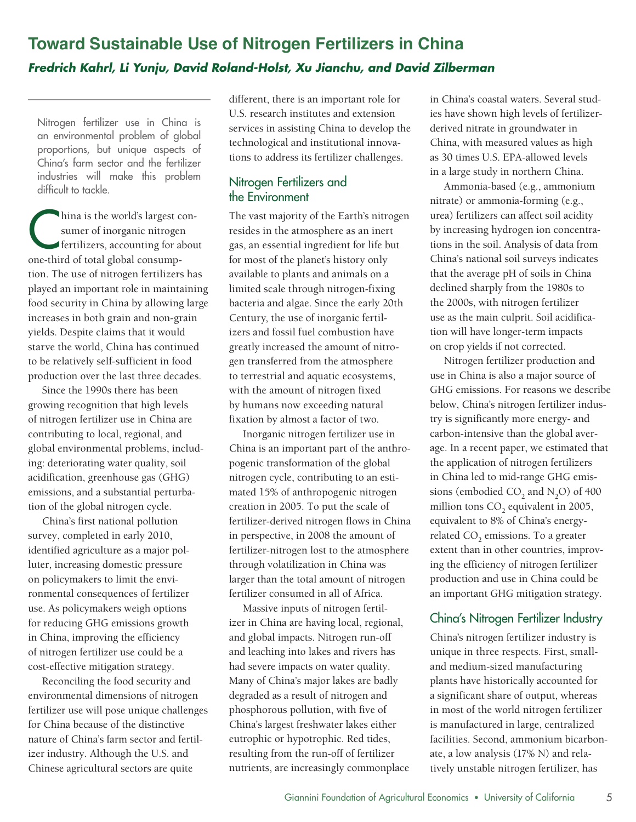# **Toward Sustainable Use of Nitrogen Fertilizers in China** *Fredrich Kahrl, Li Yunju, David Roland-Holst, Xu Jianchu, and David Zilberman*

Nitrogen fertilizer use in China is an environmental problem of global proportions, but unique aspects of China's farm sector and the fertilizer industries will make this problem difficult to tackle.

China is the world's largest con-<br>
sumer of inorganic nitrogen<br>
fertilizers, accounting for about sumer of inorganic nitrogen one-third of total global consumption. The use of nitrogen fertilizers has played an important role in maintaining food security in China by allowing large increases in both grain and non-grain yields. Despite claims that it would starve the world, China has continued to be relatively self-sufficient in food production over the last three decades.

Since the 1990s there has been growing recognition that high levels of nitrogen fertilizer use in China are contributing to local, regional, and global environmental problems, including: deteriorating water quality, soil acidification, greenhouse gas (GHG) emissions, and a substantial perturbation of the global nitrogen cycle.

China's first national pollution survey, completed in early 2010, identified agriculture as a major polluter, increasing domestic pressure on policymakers to limit the environmental consequences of fertilizer use. As policymakers weigh options for reducing GHG emissions growth in China, improving the efficiency of nitrogen fertilizer use could be a cost-effective mitigation strategy.

Reconciling the food security and environmental dimensions of nitrogen fertilizer use will pose unique challenges for China because of the distinctive nature of China's farm sector and fertilizer industry. Although the U.S. and Chinese agricultural sectors are quite

different, there is an important role for U.S. research institutes and extension services in assisting China to develop the technological and institutional innovations to address its fertilizer challenges.

## Nitrogen Fertilizers and the Environment

The vast majority of the Earth's nitrogen resides in the atmosphere as an inert gas, an essential ingredient for life but for most of the planet's history only available to plants and animals on a limited scale through nitrogen-fixing bacteria and algae. Since the early 20th Century, the use of inorganic fertilizers and fossil fuel combustion have greatly increased the amount of nitrogen transferred from the atmosphere to terrestrial and aquatic ecosystems, with the amount of nitrogen fixed by humans now exceeding natural fixation by almost a factor of two.

Inorganic nitrogen fertilizer use in China is an important part of the anthropogenic transformation of the global nitrogen cycle, contributing to an estimated 15% of anthropogenic nitrogen creation in 2005. To put the scale of fertilizer-derived nitrogen flows in China in perspective, in 2008 the amount of fertilizer-nitrogen lost to the atmosphere through volatilization in China was larger than the total amount of nitrogen fertilizer consumed in all of Africa.

Massive inputs of nitrogen fertilizer in China are having local, regional, and global impacts. Nitrogen run-off and leaching into lakes and rivers has had severe impacts on water quality. Many of China's major lakes are badly degraded as a result of nitrogen and phosphorous pollution, with five of China's largest freshwater lakes either eutrophic or hypotrophic. Red tides, resulting from the run-off of fertilizer nutrients, are increasingly commonplace in China's coastal waters. Several studies have shown high levels of fertilizerderived nitrate in groundwater in China, with measured values as high as 30 times U.S. EPA-allowed levels in a large study in northern China.

Ammonia-based (e.g., ammonium nitrate) or ammonia-forming (e.g., urea) fertilizers can affect soil acidity by increasing hydrogen ion concentrations in the soil. Analysis of data from China's national soil surveys indicates that the average pH of soils in China declined sharply from the 1980s to the 2000s, with nitrogen fertilizer use as the main culprit. Soil acidification will have longer-term impacts on crop yields if not corrected.

Nitrogen fertilizer production and use in China is also a major source of GHG emissions. For reasons we describe below, China's nitrogen fertilizer industry is significantly more energy- and carbon-intensive than the global average. In a recent paper, we estimated that the application of nitrogen fertilizers in China led to mid-range GHG emissions (embodied  $CO<sub>2</sub>$  and  $N<sub>2</sub>O$ ) of 400 million tons CO<sub>2</sub> equivalent in 2005, equivalent to 8% of China's energyrelated CO<sub>2</sub> emissions. To a greater extent than in other countries, improving the efficiency of nitrogen fertilizer production and use in China could be an important GHG mitigation strategy.

# China's Nitrogen Fertilizer Industry

China's nitrogen fertilizer industry is unique in three respects. First, smalland medium-sized manufacturing plants have historically accounted for a significant share of output, whereas in most of the world nitrogen fertilizer is manufactured in large, centralized facilities. Second, ammonium bicarbonate, a low analysis (17% N) and relatively unstable nitrogen fertilizer, has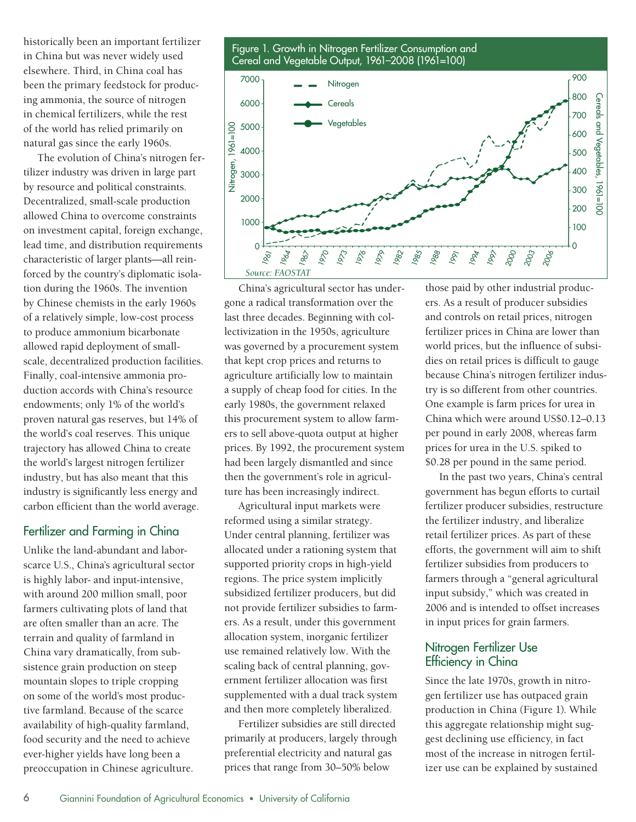historically been an important fertilizer in China but was never widely used elsewhere. Third, in China coal has been the primary feedstock for producing ammonia, the source of nitrogen in chemical fertilizers, while the rest of the world has relied primarily on natural gas since the early 1960s.

The evolution of China's nitrogen fertilizer industry was driven in large part by resource and political constraints. Decentralized, small-scale production allowed China to overcome constraints on investment capital, foreign exchange, lead time, and distribution requirements characteristic of larger plants—all reinforced by the country's diplomatic isolation during the 1960s. The invention by Chinese chemists in the early 1960s of a relatively simple, low-cost process to produce ammonium bicarbonate allowed rapid deployment of smallscale, decentralized production facilities. Finally, coal-intensive ammonia production accords with China's resource endowments; only 1% of the world's proven natural gas reserves, but 14% of the world's coal reserves. This unique trajectory has allowed China to create the world's largest nitrogen fertilizer industry, but has also meant that this industry is significantly less energy and carbon efficient than the world average.

## Fertilizer and Farming in China

Unlike the land-abundant and laborscarce U.S., China's agricultural sector is highly labor- and input-intensive, with around 200 million small, poor farmers cultivating plots of land that are often smaller than an acre. The terrain and quality of farmland in China vary dramatically, from subsistence grain production on steep mountain slopes to triple cropping on some of the world's most productive farmland. Because of the scarce availability of high-quality farmland, food security and the need to achieve ever-higher yields have long been a preoccupation in Chinese agriculture.

Figure 1. Growth in Nitrogen Fertilizer Consumption and Cereal and Vegetable Output, 1961–2008 (1961=100) Nitrogen **Cereals** Vegetables 7000 6000 5000



China's agricultural sector has undergone a radical transformation over the last three decades. Beginning with collectivization in the 1950s, agriculture was governed by a procurement system that kept crop prices and returns to agriculture artificially low to maintain a supply of cheap food for cities. In the early 1980s, the government relaxed this procurement system to allow farmers to sell above-quota output at higher prices. By 1992, the procurement system had been largely dismantled and since then the government's role in agriculture has been increasingly indirect.

Agricultural input markets were reformed using a similar strategy. Under central planning, fertilizer was allocated under a rationing system that supported priority crops in high-yield regions. The price system implicitly subsidized fertilizer producers, but did not provide fertilizer subsidies to farmers. As a result, under this government allocation system, inorganic fertilizer use remained relatively low. With the scaling back of central planning, government fertilizer allocation was first supplemented with a dual track system and then more completely liberalized.

Fertilizer subsidies are still directed primarily at producers, largely through preferential electricity and natural gas prices that range from 30–50% below

those paid by other industrial producers. As a result of producer subsidies and controls on retail prices, nitrogen fertilizer prices in China are lower than world prices, but the influence of subsidies on retail prices is difficult to gauge because China's nitrogen fertilizer industry is so different from other countries. One example is farm prices for urea in China which were around US\$0.12–0.13 per pound in early 2008, whereas farm prices for urea in the U.S. spiked to \$0.28 per pound in the same period.

900

In the past two years, China's central government has begun efforts to curtail fertilizer producer subsidies, restructure the fertilizer industry, and liberalize retail fertilizer prices. As part of these efforts, the government will aim to shift fertilizer subsidies from producers to farmers through a "general agricultural input subsidy," which was created in 2006 and is intended to offset increases in input prices for grain farmers.

# Nitrogen Fertilizer Use Efficiency in China

Since the late 1970s, growth in nitrogen fertilizer use has outpaced grain production in China (Figure 1). While this aggregate relationship might suggest declining use efficiency, in fact most of the increase in nitrogen fertilizer use can be explained by sustained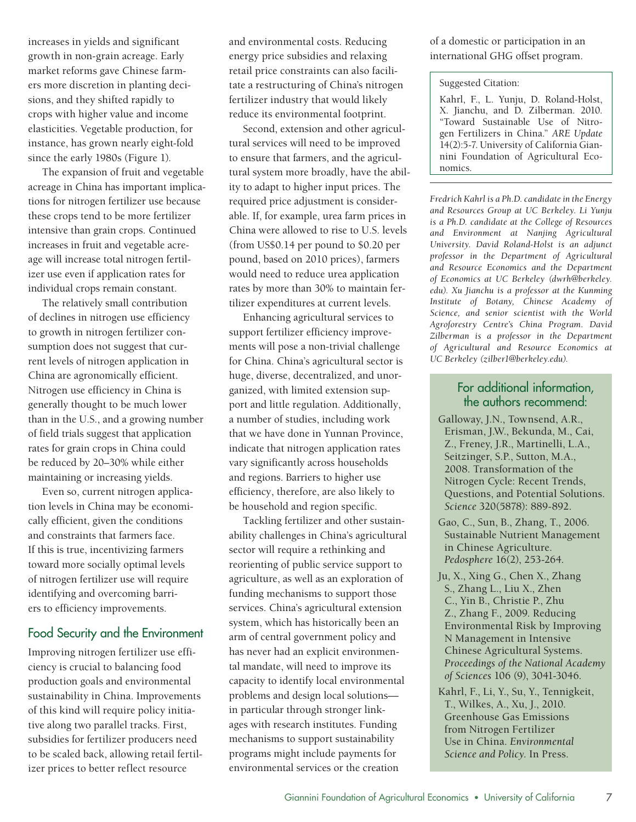increases in yields and significant growth in non-grain acreage. Early market reforms gave Chinese farmers more discretion in planting decisions, and they shifted rapidly to crops with higher value and income elasticities. Vegetable production, for instance, has grown nearly eight-fold since the early 1980s (Figure 1).

The expansion of fruit and vegetable acreage in China has important implications for nitrogen fertilizer use because these crops tend to be more fertilizer intensive than grain crops. Continued increases in fruit and vegetable acreage will increase total nitrogen fertilizer use even if application rates for individual crops remain constant.

The relatively small contribution of declines in nitrogen use efficiency to growth in nitrogen fertilizer consumption does not suggest that current levels of nitrogen application in China are agronomically efficient. Nitrogen use efficiency in China is generally thought to be much lower than in the U.S., and a growing number of field trials suggest that application rates for grain crops in China could be reduced by 20–30% while either maintaining or increasing yields.

Even so, current nitrogen application levels in China may be economically efficient, given the conditions and constraints that farmers face. If this is true, incentivizing farmers toward more socially optimal levels of nitrogen fertilizer use will require identifying and overcoming barriers to efficiency improvements.

#### Food Security and the Environment

Improving nitrogen fertilizer use efficiency is crucial to balancing food production goals and environmental sustainability in China. Improvements of this kind will require policy initiative along two parallel tracks. First, subsidies for fertilizer producers need to be scaled back, allowing retail fertilizer prices to better reflect resource

and environmental costs. Reducing energy price subsidies and relaxing retail price constraints can also facilitate a restructuring of China's nitrogen fertilizer industry that would likely reduce its environmental footprint.

Second, extension and other agricultural services will need to be improved to ensure that farmers, and the agricultural system more broadly, have the ability to adapt to higher input prices. The required price adjustment is considerable. If, for example, urea farm prices in China were allowed to rise to U.S. levels (from US\$0.14 per pound to \$0.20 per pound, based on 2010 prices), farmers would need to reduce urea application rates by more than 30% to maintain fertilizer expenditures at current levels.

Enhancing agricultural services to support fertilizer efficiency improvements will pose a non-trivial challenge for China. China's agricultural sector is huge, diverse, decentralized, and unorganized, with limited extension support and little regulation. Additionally, a number of studies, including work that we have done in Yunnan Province, indicate that nitrogen application rates vary significantly across households and regions. Barriers to higher use efficiency, therefore, are also likely to be household and region specific.

Tackling fertilizer and other sustainability challenges in China's agricultural sector will require a rethinking and reorienting of public service support to agriculture, as well as an exploration of funding mechanisms to support those services. China's agricultural extension system, which has historically been an arm of central government policy and has never had an explicit environmental mandate, will need to improve its capacity to identify local environmental problems and design local solutions in particular through stronger linkages with research institutes. Funding mechanisms to support sustainability programs might include payments for environmental services or the creation

of a domestic or participation in an international GHG offset program.

#### Suggested Citation:

Kahrl, F., L. Yunju, D. Roland-Holst, X. Jianchu, and D. Zilberman. 2010. "Toward Sustainable Use of Nitrogen Fertilizers in China." *ARE Update* 14(2):5-7. University of California Giannini Foundation of Agricultural Economics.

*Fredrich Kahrl is a Ph.D. candidate in the Energy and Resources Group at UC Berkeley. Li Yunju is a Ph.D. candidate at the College of Resources and Environment at Nanjing Agricultural University. David Roland-Holst is an adjunct professor in the Department of Agricultural and Resource Economics and the Department of Economics at UC Berkeley (dwrh@berkeley. edu). Xu Jianchu is a professor at the Kunming Institute of Botany, Chinese Academy of Science, and senior scientist with the World Agroforestry Centre's China Program. David Zilberman is a professor in the Department of Agricultural and Resource Economics at UC Berkeley (zilber1@berkeley.edu).*

# For additional information, the authors recommend:

- Galloway, J.N., Townsend, A.R., Erisman, J.W., Bekunda, M., Cai, Z., Freney, J.R., Martinelli, L.A., Seitzinger, S.P., Sutton, M.A., 2008. Transformation of the Nitrogen Cycle: Recent Trends, Questions, and Potential Solutions. *Science* 320(5878): 889-892.
- Gao, C., Sun, B., Zhang, T., 2006. Sustainable Nutrient Management in Chinese Agriculture. *Pedosphere* 16(2), 253-264.
- Ju, X., Xing G., Chen X., Zhang S., Zhang L., Liu X., Zhen C., Yin B., Christie P., Zhu Z., Zhang F., 2009. Reducing Environmental Risk by Improving N Management in Intensive Chinese Agricultural Systems. *Proceedings of the National Academy of Sciences* 106 (9), 3041-3046.
- Kahrl, F., Li, Y., Su, Y., Tennigkeit, T., Wilkes, A., Xu, J., 2010. Greenhouse Gas Emissions from Nitrogen Fertilizer Use in China. *Environmental Science and Policy*. In Press.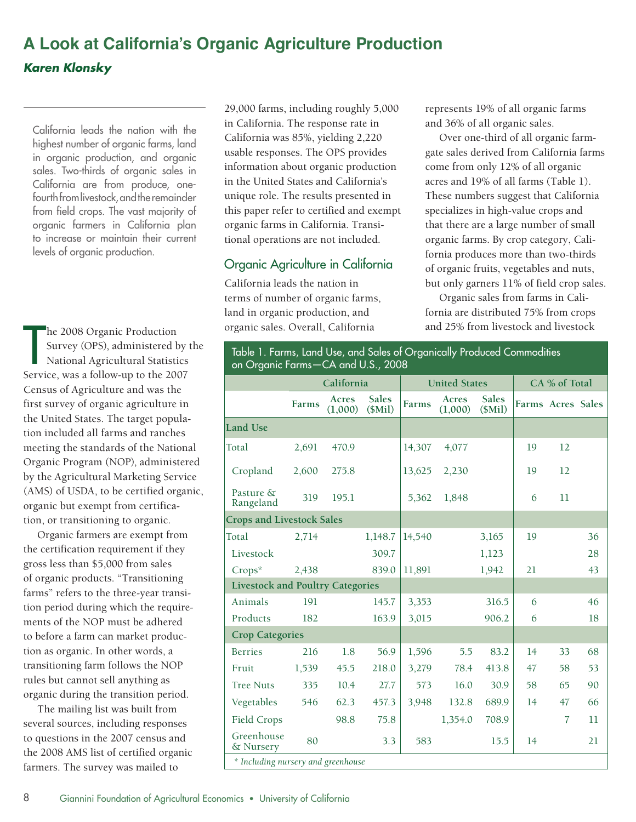# **A Look at California's Organic Agriculture Production** *Karen Klonsky*

California leads the nation with the highest number of organic farms, land in organic production, and organic sales. Two-thirds of organic sales in California are from produce, onefourth from livestock, and the remainder from field crops. The vast majority of organic farmers in California plan to increase or maintain their current levels of organic production.

he 2008 Organic Production Survey (OPS), administered by the National Agricultural Statistics Service, was a follow-up to the 2007 Census of Agriculture and was the first survey of organic agriculture in the United States. The target population included all farms and ranches meeting the standards of the National Organic Program (NOP), administered by the Agricultural Marketing Service (AMS) of USDA, to be certified organic, organic but exempt from certification, or transitioning to organic.

Organic farmers are exempt from the certification requirement if they gross less than \$5,000 from sales of organic products. "Transitioning farms" refers to the three-year transition period during which the requirements of the NOP must be adhered to before a farm can market production as organic. In other words, a transitioning farm follows the NOP rules but cannot sell anything as organic during the transition period.

The mailing list was built from several sources, including responses to questions in the 2007 census and the 2008 AMS list of certified organic farmers. The survey was mailed to

29,000 farms, including roughly 5,000 in California. The response rate in California was 85%, yielding 2,220 usable responses. The OPS provides information about organic production in the United States and California's unique role. The results presented in this paper refer to certified and exempt organic farms in California. Transitional operations are not included.

# Organic Agriculture in California

California leads the nation in terms of number of organic farms, land in organic production, and organic sales. Overall, California

represents 19% of all organic farms and 36% of all organic sales.

Over one-third of all organic farmgate sales derived from California farms come from only 12% of all organic acres and 19% of all farms (Table 1). These numbers suggest that California specializes in high-value crops and that there are a large number of small organic farms. By crop category, California produces more than two-thirds of organic fruits, vegetables and nuts, but only garners 11% of field crop sales.

Organic sales from farms in California are distributed 75% from crops and 25% from livestock and livestock

Table 1. Farms, Land Use, and Sales of Organically Produced Commodities<br>on Organic Farms—CA and U.S., 2008

|                                         | California |                  | <b>United States</b>   |        |                  | CA % of Total          |                   |                |    |
|-----------------------------------------|------------|------------------|------------------------|--------|------------------|------------------------|-------------------|----------------|----|
|                                         | Farms      | Acres<br>(1,000) | <b>Sales</b><br>(SMil) | Farms  | Acres<br>(1,000) | <b>Sales</b><br>(SMil) | Farms Acres Sales |                |    |
| <b>Land Use</b>                         |            |                  |                        |        |                  |                        |                   |                |    |
| Total                                   | 2,691      | 470.9            |                        | 14,307 | 4,077            |                        | 19                | 12             |    |
| Cropland                                | 2,600      | 275.8            |                        | 13,625 | 2,230            |                        | 19                | 12             |    |
| Pasture &<br>Rangeland                  | 319        | 195.1            |                        | 5,362  | 1,848            |                        | 6                 | 11             |    |
| <b>Crops and Livestock Sales</b>        |            |                  |                        |        |                  |                        |                   |                |    |
| Total                                   | 2,714      |                  | 1,148.7                | 14,540 |                  | 3,165                  | 19                |                | 36 |
| Livestock                               |            |                  | 309.7                  |        |                  | 1,123                  |                   |                | 28 |
| $Crops^*$                               | 2,438      |                  | 839.0                  | 11,891 |                  | 1,942                  | 21                |                | 43 |
| <b>Livestock and Poultry Categories</b> |            |                  |                        |        |                  |                        |                   |                |    |
| Animals                                 | 191        |                  | 145.7                  | 3,353  |                  | 316.5                  | 6                 |                | 46 |
| Products                                | 182        |                  | 163.9                  | 3,015  |                  | 906.2                  | 6                 |                | 18 |
| <b>Crop Categories</b>                  |            |                  |                        |        |                  |                        |                   |                |    |
| <b>Berries</b>                          | 216        | 1.8              | 56.9                   | 1,596  | 5.5              | 83.2                   | 14                | 33             | 68 |
| Fruit                                   | 1,539      | 45.5             | 218.0                  | 3,279  | 78.4             | 413.8                  | 47                | 58             | 53 |
| <b>Tree Nuts</b>                        | 335        | 10.4             | 27.7                   | 573    | 16.0             | 30.9                   | 58                | 65             | 90 |
| Vegetables                              | 546        | 62.3             | 457.3                  | 3,948  | 132.8            | 689.9                  | 14                | 47             | 66 |
| Field Crops                             |            | 98.8             | 75.8                   |        | 1,354.0          | 708.9                  |                   | $\overline{7}$ | 11 |
| Greenhouse<br>& Nursery                 | 80         |                  | 3.3                    | 583    |                  | 15.5                   | 14                |                | 21 |
| * Including nursery and greenhouse      |            |                  |                        |        |                  |                        |                   |                |    |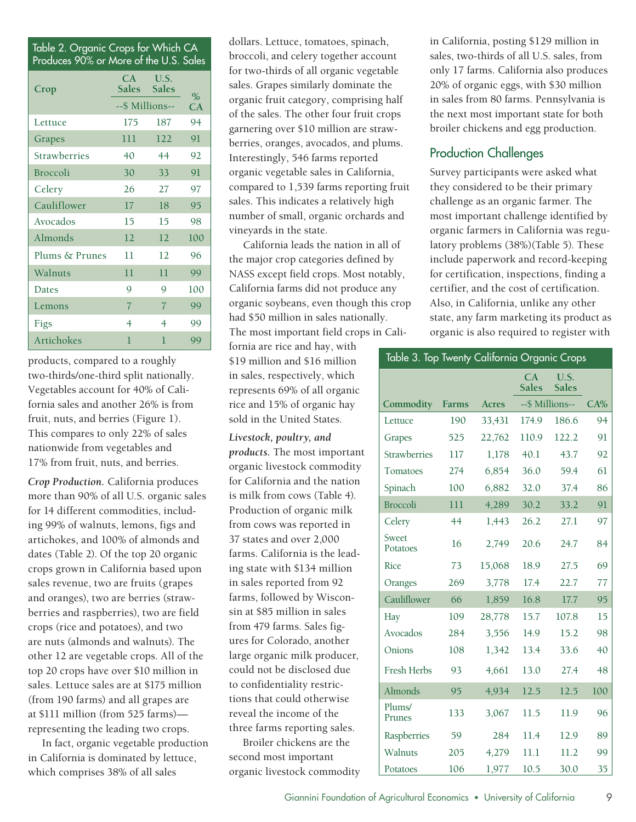| Table 2. Organic Crops for Which CA<br>Produces 90% or More of the U.S. Sales |                    |                |      |  |
|-------------------------------------------------------------------------------|--------------------|----------------|------|--|
| Crop                                                                          | CA.<br>Sales Sales | U.S.           | $\%$ |  |
|                                                                               | --\$ Millions--    |                | CA   |  |
| Lettuce                                                                       | 175                | 187            | 94   |  |
| Grapes                                                                        | 111                | 122            | 91   |  |
| <b>Strawherries</b>                                                           | 40                 | 44             | 92   |  |
| <b>Broccoli</b>                                                               | 30                 | 33             | 91   |  |
| Celery                                                                        | 26                 | 27             | 97   |  |
| Cauliflower                                                                   | 17                 | 18             | 95   |  |
| Avocados                                                                      | 15                 | 15             | 98   |  |
| Almonds                                                                       | 12                 | 12             | 100  |  |
| Plums & Prunes                                                                | 11                 | 12             | 96   |  |
| Walnuts                                                                       | 11                 | 11             | 99   |  |
| Dates                                                                         | Q                  | 9              | 100  |  |
| Lemons                                                                        | $\overline{7}$     | $\overline{7}$ | 99   |  |
| Figs                                                                          | 4                  | 4              | 99   |  |
| Artichokes                                                                    | 1                  | 1              | 99   |  |

products, compared to a roughly two-thirds/one-third split nationally. Vegetables account for 40% of California sales and another 26% is from fruit, nuts, and berries (Figure 1). This compares to only 22% of sales nationwide from vegetables and 17% from fruit, nuts, and berries.

*Crop Production.* California produces more than 90% of all U.S. organic sales for 14 different commodities, including 99% of walnuts, lemons, figs and artichokes, and 100% of almonds and dates (Table 2). Of the top 20 organic crops grown in California based upon sales revenue, two are fruits (grapes and oranges), two are berries (strawberries and raspberries), two are field crops (rice and potatoes), and two are nuts (almonds and walnuts). The other 12 are vegetable crops. All of the top 20 crops have over \$10 million in sales. Lettuce sales are at \$175 million (from 190 farms) and all grapes are at \$111 million (from 525 farms) representing the leading two crops.

In fact, organic vegetable production in California is dominated by lettuce, which comprises 38% of all sales

dollars. Lettuce, tomatoes, spinach, broccoli, and celery together account for two-thirds of all organic vegetable sales. Grapes similarly dominate the organic fruit category, comprising half of the sales. The other four fruit crops garnering over \$10 million are strawberries, oranges, avocados, and plums. Interestingly, 546 farms reported organic vegetable sales in California, compared to 1,539 farms reporting fruit sales. This indicates a relatively high number of small, organic orchards and vineyards in the state.

California leads the nation in all of the major crop categories defined by NASS except field crops. Most notably, California farms did not produce any organic soybeans, even though this crop had \$50 million in sales nationally. The most important field crops in Cali-

fornia are rice and hay, with \$19 million and \$16 million in sales, respectively, which represents 69% of all organic rice and 15% of organic hay sold in the United States.

*Livestock, poultry, and products.* The most important organic livestock commodity for California and the nation is milk from cows (Table 4). Production of organic milk from cows was reported in 37 states and over 2,000 farms. California is the leading state with \$134 million in sales reported from 92 farms, followed by Wisconsin at \$85 million in sales from 479 farms. Sales figures for Colorado, another large organic milk producer, could not be disclosed due to confidentiality restrictions that could otherwise reveal the income of the three farms reporting sales.

Broiler chickens are the second most important organic livestock commodity in California, posting \$129 million in sales, two-thirds of all U.S. sales, from only 17 farms. California also produces 20% of organic eggs, with \$30 million in sales from 80 farms. Pennsylvania is the next most important state for both broiler chickens and egg production.

# Production Challenges

Survey participants were asked what they considered to be their primary challenge as an organic farmer. The most important challenge identified by organic farmers in California was regulatory problems (38%)(Table 5). These include paperwork and record-keeping for certification, inspections, finding a certifier, and the cost of certification. Also, in California, unlike any other state, any farm marketing its product as organic is also required to register with

| Table 3. Top Twenty California Organic Crops |              |              |                    |                      |     |
|----------------------------------------------|--------------|--------------|--------------------|----------------------|-----|
|                                              |              |              | CA<br><b>Sales</b> | U.S.<br><b>Sales</b> |     |
| Commodity                                    | <b>Farms</b> | <b>Acres</b> |                    | --\$ Millions--      | CA% |
| Lettuce                                      | 190          | 33,431       | 174.9              | 186.6                | 94  |
| Grapes                                       | 525          | 22,762       | 110.9              | 122.2                | 91  |
| <b>Strawberries</b>                          | 117          | 1,178        | 40.1               | 43.7                 | 92  |
| Tomatoes                                     | 274          | 6,854        | 36.0               | 59.4                 | 61  |
| Spinach                                      | 100          | 6,882        | 32.0               | 37.4                 | 86  |
| <b>Broccoli</b>                              | 111          | 4,289        | 30.2               | 33.2                 | 91  |
| Celery                                       | 44           | 1,443        | 26.2               | 27.1                 | 97  |
| Sweet<br>Potatoes                            | 16           | 2,749        | 20.6               | 24.7                 | 84  |
| Rice                                         | 73           | 15,068       | 18.9               | 27.5                 | 69  |
| Oranges                                      | 269          | 3,778        | 17.4               | 22.7                 | 77  |
| Cauliflower                                  | 66           | 1,859        | 16.8               | 17.7                 | 95  |
| Hay                                          | 109          | 28,778       | 15.7               | 107.8                | 15  |
| Avocados                                     | 284          | 3,556        | 14.9               | 15.2                 | 98  |
| Onions                                       | 108          | 1,342        | 13.4               | 33.6                 | 40  |
| Fresh Herbs                                  | 93           | 4,661        | 13.0               | 27.4                 | 48  |
| Almonds                                      | 95           | 4,934        | 12.5               | 12.5                 | 100 |
| Plums/<br>Prunes                             | 133          | 3,067        | 11.5               | 11.9                 | 96  |
| Raspberries                                  | 59           | 284          | 11.4               | 12.9                 | 89  |
| Walnuts                                      | 205          | 4,279        | 11.1               | 11.2                 | 99  |
| Potatoes                                     | 106          | 1,977        | 10.5               | 30.0                 | 35  |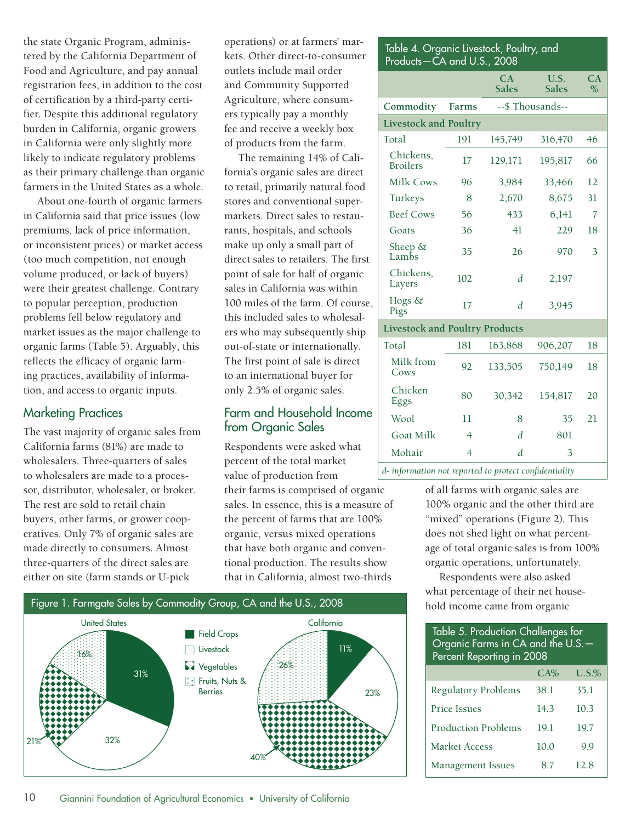the state Organic Program, administered by the California Department of Food and Agriculture, and pay annual registration fees, in addition to the cost of certification by a third-party certifier. Despite this additional regulatory burden in California, organic growers in California were only slightly more likely to indicate regulatory problems as their primary challenge than organic farmers in the United States as a whole.

About one-fourth of organic farmers in California said that price issues (low premiums, lack of price information, or inconsistent prices) or market access (too much competition, not enough volume produced, or lack of buyers) were their greatest challenge. Contrary to popular perception, production problems fell below regulatory and market issues as the major challenge to organic farms (Table 5). Arguably, this reflects the efficacy of organic farming practices, availability of information, and access to organic inputs.

## Marketing Practices

The vast majority of organic sales from California farms (81%) are made to wholesalers. Three-quarters of sales to wholesalers are made to a processor, distributor, wholesaler, or broker. The rest are sold to retail chain buyers, other farms, or grower cooperatives. Only 7% of organic sales are made directly to consumers. Almost three-quarters of the direct sales are either on site (farm stands or U-pick

operations) or at farmers' markets. Other direct-to-consumer outlets include mail order and Community Supported Agriculture, where consumers typically pay a monthly fee and receive a weekly box of products from the farm.

The remaining 14% of California's organic sales are direct to retail, primarily natural food stores and conventional supermarkets. Direct sales to restaurants, hospitals, and schools make up only a small part of direct sales to retailers. The first point of sale for half of organic sales in California was within 100 miles of the farm. Of course, this included sales to wholesalers who may subsequently ship out-of-state or internationally. The first point of sale is direct to an international buyer for only 2.5% of organic sales.

## Farm and Household Income from Organic Sales

Respondents were asked what percent of the total market value of production from

their farms is comprised of organic sales. In essence, this is a measure of the percent of farms that are 100% organic, versus mixed operations that have both organic and conventional production. The results show that in California, almost two-thirds



# Chickens,<br>Broilers Broilers <sup>17</sup> 129,171 195,817 <sup>66</sup> Milk Cows 96 3,984 33,466 12 Turkeys 8 2,670 8,675 31 Beef Cows 56 433 6,141 7 Goats 36 41 229 18 Sheep &<br>Lambs Sileep & 35 26 970 3 Chickens, Layers <sup>102</sup> *<sup>d</sup>* 2,197 Hogs & Pigs <sup>17</sup> *<sup>d</sup>* 3,945 **Livestock and Poultry Products** Total 181 163,868 906,207 18 Milk from Cows <sup>92</sup> 133,505 750,149 <sup>18</sup> Chicken<br>Eggs Eggs 80 30,342 154,817 20 Wool 11 8 35 21

**CA Sales**

**Commodity Farms** --\$ Thousands--

Table 4. Organic Livestock, Poultry, and

Products—CA and U.S., 2008

Total 191 145,749 316,470 46

**Livestock and Poultry**

**U.S. Sales** **CA %**

Mohair 4 *d* 3 *d- information not reported to protect confidentiality*

Goat Milk  $4$  *d* 801

of all farms with organic sales are 100% organic and the other third are "mixed" operations (Figure 2). This does not shed light on what percentage of total organic sales is from 100% organic operations, unfortunately.

Respondents were also asked what percentage of their net house-

| Table 5. Production Challenges for<br>Organic Farms in CA and the U.S. -<br>Percent Reporting in 2008 |         |             |  |  |  |
|-------------------------------------------------------------------------------------------------------|---------|-------------|--|--|--|
|                                                                                                       | $C.A\%$ | U.S.%       |  |  |  |
| Regulatory Problems                                                                                   | 38.1    | 35.1        |  |  |  |
| <b>Price Issues</b>                                                                                   | 14.3    | 10.3        |  |  |  |
| <b>Production Problems</b>                                                                            | 19.1    | 19.7        |  |  |  |
| Market Access                                                                                         | 10.0    | $Q_{\rm q}$ |  |  |  |
| <b>Management Issues</b>                                                                              | 87      | 12.8        |  |  |  |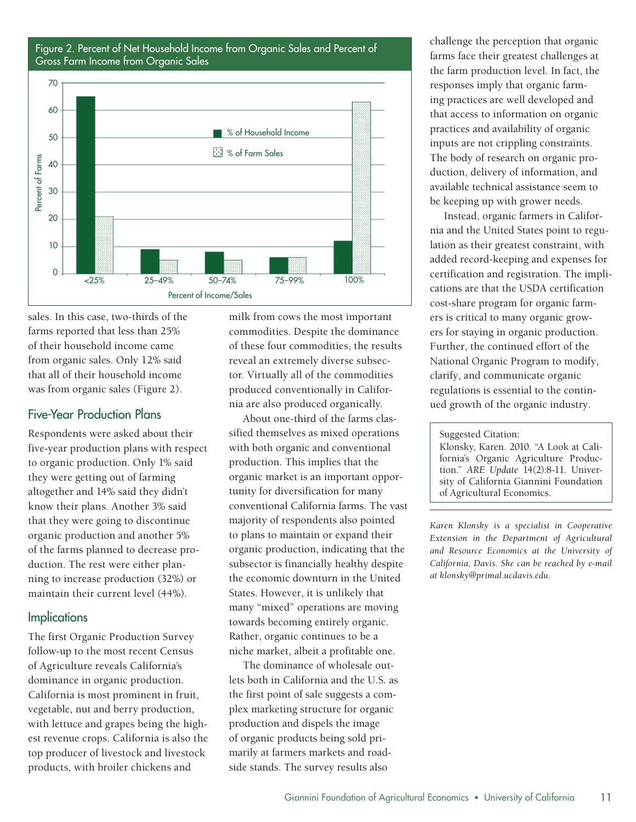Figure 2. Percent of Net Household Income from Organic Sales and Percent of Gross Farm Income from Organic Sales



sales. In this case, two-thirds of the farms reported that less than 25% of their household income came from organic sales. Only 12% said that all of their household income was from organic sales (Figure 2).

# Five-Year Production Plans

Respondents were asked about their five-year production plans with respect to organic production. Only 1% said they were getting out of farming altogether and 14% said they didn't know their plans. Another 3% said that they were going to discontinue organic production and another 5% of the farms planned to decrease production. The rest were either planning to increase production (32%) or maintain their current level (44%).

#### **Implications**

The first Organic Production Survey follow-up to the most recent Census of Agriculture reveals California's dominance in organic production. California is most prominent in fruit, vegetable, nut and berry production, with lettuce and grapes being the highest revenue crops. California is also the top producer of livestock and livestock products, with broiler chickens and

milk from cows the most important commodities. Despite the dominance of these four commodities, the results reveal an extremely diverse subsector. Virtually all of the commodities produced conventionally in California are also produced organically.

About one-third of the farms classified themselves as mixed operations with both organic and conventional production. This implies that the organic market is an important opportunity for diversification for many conventional California farms. The vast majority of respondents also pointed to plans to maintain or expand their organic production, indicating that the subsector is financially healthy despite the economic downturn in the United States. However, it is unlikely that many "mixed" operations are moving towards becoming entirely organic. Rather, organic continues to be a niche market, albeit a profitable one.

The dominance of wholesale outlets both in California and the U.S. as the first point of sale suggests a complex marketing structure for organic production and dispels the image of organic products being sold primarily at farmers markets and roadside stands. The survey results also

challenge the perception that organic farms face their greatest challenges at the farm production level. In fact, the responses imply that organic farming practices are well developed and that access to information on organic practices and availability of organic inputs are not crippling constraints. The body of research on organic production, delivery of information, and available technical assistance seem to be keeping up with grower needs.

Instead, organic farmers in California and the United States point to regulation as their greatest constraint, with added record-keeping and expenses for certification and registration. The implications are that the USDA certification cost-share program for organic farmers is critical to many organic growers for staying in organic production. Further, the continued effort of the National Organic Program to modify, clarify, and communicate organic regulations is essential to the continued growth of the organic industry.

Klonsky, Karen. 2010. "A Look at California's Organic Agriculture Production." *ARE Update* 14(2):8-11. University of California Giannini Foundation of Agricultural Economics.

*Karen Klonsky is a specialist in Cooperative Extension in the Department of Agricultural and Resource Economics at the University of California, Davis. She can be reached by e-mail at klonsky@primal.ucdavis.edu.*

Suggested Citation: